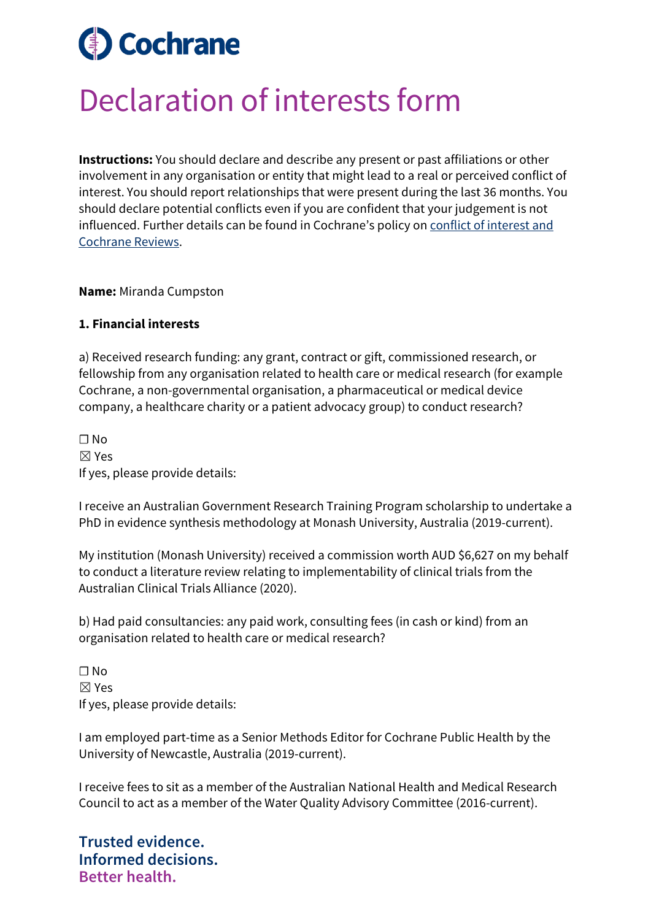## **Cochrane**

## Declaration of interests form

**Instructions:** You should declare and describe any present or past affiliations or other involvement in any organisation or entity that might lead to a real or perceived conflict of interest. You should report relationships that were present during the last 36 months. You should declare potential conflicts even if you are confident that your judgement is not influenced. Further details can be found in Cochrane's policy on [conflict of interest and](https://documentation.cochrane.org/display/EPPR/Policy%3A+conflicts+of+interest+and+Cochrane+Reviews)  [Cochrane Reviews.](https://documentation.cochrane.org/display/EPPR/Policy%3A+conflicts+of+interest+and+Cochrane+Reviews)

**Name:** Miranda Cumpston

## **1. Financial interests**

a) Received research funding: any grant, contract or gift, commissioned research, or fellowship from any organisation related to health care or medical research (for example Cochrane, a non-governmental organisation, a pharmaceutical or medical device company, a healthcare charity or a patient advocacy group) to conduct research?

 $\Box$  No ☒ Yes If yes, please provide details:

I receive an Australian Government Research Training Program scholarship to undertake a PhD in evidence synthesis methodology at Monash University, Australia (2019-current).

My institution (Monash University) received a commission worth AUD \$6,627 on my behalf to conduct a literature review relating to implementability of clinical trials from the Australian Clinical Trials Alliance (2020).

b) Had paid consultancies: any paid work, consulting fees (in cash or kind) from an organisation related to health care or medical research?

 $\Box$  No ☒ Yes If yes, please provide details:

I am employed part-time as a Senior Methods Editor for Cochrane Public Health by the University of Newcastle, Australia (2019-current).

I receive fees to sit as a member of the Australian National Health and Medical Research Council to act as a member of the Water Quality Advisory Committee (2016-current).

**Trusted evidence. Informed decisions. Better health.**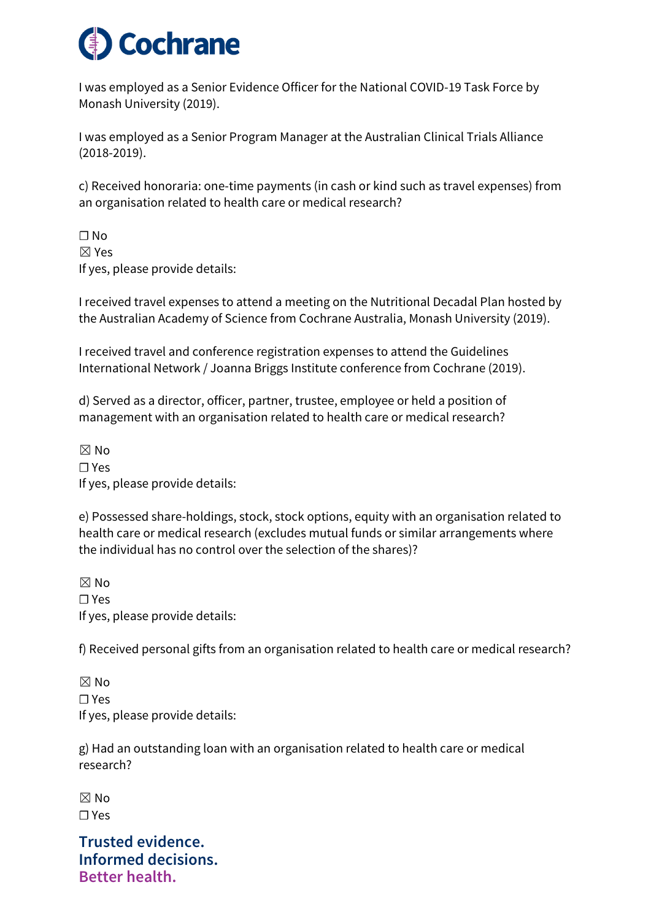

I was employed as a Senior Evidence Officer for the National COVID-19 Task Force by Monash University (2019).

I was employed as a Senior Program Manager at the Australian Clinical Trials Alliance (2018-2019).

c) Received honoraria: one-time payments (in cash or kind such as travel expenses) from an organisation related to health care or medical research?

 $\Box$  No ☒ Yes If yes, please provide details:

I received travel expenses to attend a meeting on the Nutritional Decadal Plan hosted by the Australian Academy of Science from Cochrane Australia, Monash University (2019).

I received travel and conference registration expenses to attend the Guidelines International Network / Joanna Briggs Institute conference from Cochrane (2019).

d) Served as a director, officer, partner, trustee, employee or held a position of management with an organisation related to health care or medical research?

 $\boxtimes$  No ☐ Yes If yes, please provide details:

e) Possessed share-holdings, stock, stock options, equity with an organisation related to health care or medical research (excludes mutual funds or similar arrangements where the individual has no control over the selection of the shares)?

 $M \boxtimes N$ ☐ Yes If yes, please provide details:

f) Received personal gifts from an organisation related to health care or medical research?

 $\boxtimes$  No ☐ Yes If yes, please provide details:

g) Had an outstanding loan with an organisation related to health care or medical research?

 $\boxtimes$  No ☐ Yes

**Trusted evidence. Informed decisions. Better health.**